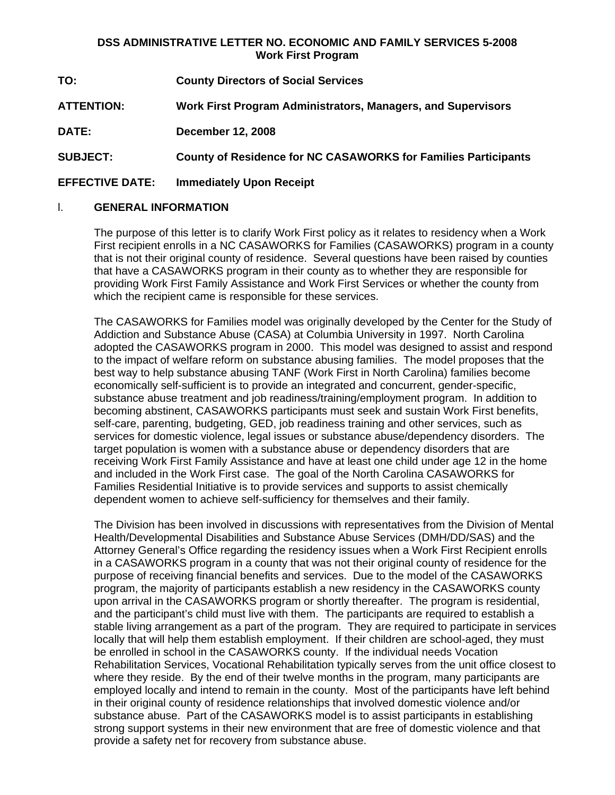## **DSS ADMINISTRATIVE LETTER NO. ECONOMIC AND FAMILY SERVICES 5-2008 Work First Program**

| TO:                    | <b>County Directors of Social Services</b>                            |
|------------------------|-----------------------------------------------------------------------|
| <b>ATTENTION:</b>      | Work First Program Administrators, Managers, and Supervisors          |
| <b>DATE:</b>           | <b>December 12, 2008</b>                                              |
| <b>SUBJECT:</b>        | <b>County of Residence for NC CASAWORKS for Families Participants</b> |
| <b>EFFECTIVE DATE:</b> | <b>Immediately Upon Receipt</b>                                       |

## l. **GENERAL INFORMATION**

The purpose of this letter is to clarify Work First policy as it relates to residency when a Work First recipient enrolls in a NC CASAWORKS for Families (CASAWORKS) program in a county that is not their original county of residence. Several questions have been raised by counties that have a CASAWORKS program in their county as to whether they are responsible for providing Work First Family Assistance and Work First Services or whether the county from which the recipient came is responsible for these services.

The CASAWORKS for Families model was originally developed by the Center for the Study of Addiction and Substance Abuse (CASA) at Columbia University in 1997. North Carolina adopted the CASAWORKS program in 2000. This model was designed to assist and respond to the impact of welfare reform on substance abusing families. The model proposes that the best way to help substance abusing TANF (Work First in North Carolina) families become economically self-sufficient is to provide an integrated and concurrent, gender-specific, substance abuse treatment and job readiness/training/employment program. In addition to becoming abstinent, CASAWORKS participants must seek and sustain Work First benefits, self-care, parenting, budgeting, GED, job readiness training and other services, such as services for domestic violence, legal issues or substance abuse/dependency disorders. The target population is women with a substance abuse or dependency disorders that are receiving Work First Family Assistance and have at least one child under age 12 in the home and included in the Work First case. The goal of the North Carolina CASAWORKS for Families Residential Initiative is to provide services and supports to assist chemically dependent women to achieve self-sufficiency for themselves and their family.

The Division has been involved in discussions with representatives from the Division of Mental Health/Developmental Disabilities and Substance Abuse Services (DMH/DD/SAS) and the Attorney General's Office regarding the residency issues when a Work First Recipient enrolls in a CASAWORKS program in a county that was not their original county of residence for the purpose of receiving financial benefits and services. Due to the model of the CASAWORKS program, the majority of participants establish a new residency in the CASAWORKS county upon arrival in the CASAWORKS program or shortly thereafter. The program is residential, and the participant's child must live with them. The participants are required to establish a stable living arrangement as a part of the program. They are required to participate in services locally that will help them establish employment. If their children are school-aged, they must be enrolled in school in the CASAWORKS county. If the individual needs Vocation Rehabilitation Services, Vocational Rehabilitation typically serves from the unit office closest to where they reside. By the end of their twelve months in the program, many participants are employed locally and intend to remain in the county. Most of the participants have left behind in their original county of residence relationships that involved domestic violence and/or substance abuse. Part of the CASAWORKS model is to assist participants in establishing strong support systems in their new environment that are free of domestic violence and that provide a safety net for recovery from substance abuse.